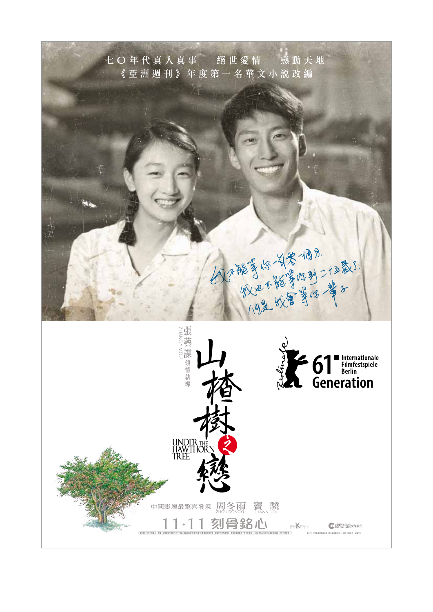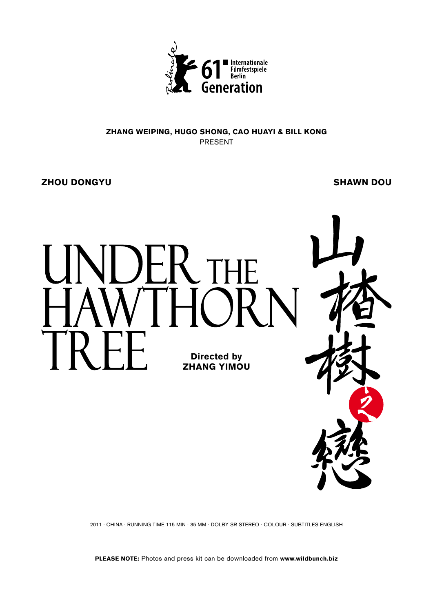

## Zhang Weiping, Hugo Shong, Cao Huayi & Bill Kong present

Zhou Dongyu Shawn Dou



2011 · CHINA · RUNNING TIME 115 min · 35 MM · DOLBY SR STEREO · COLOUR · Subtitles English

PLEASE NOTE: Photos and press kit can be downloaded from www.wildbunch.biz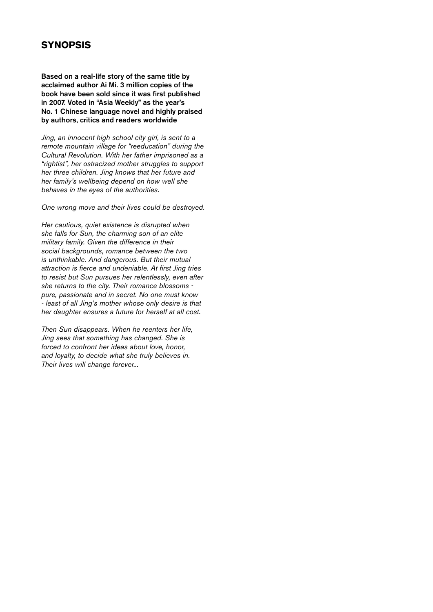## **SYNOPSIS**

Based on a real-life story of the same title by acclaimed author Ai Mi. 3 million copies of the book have been sold since it was first published in 2007. Voted in "Asia Weekly" as the year's No. 1 Chinese language novel and highly praised by authors, critics and readers worldwide

*Jing, an innocent high school city girl, is sent to a remote mountain village for "reeducation" during the Cultural Revolution. With her father imprisoned as a "rightist", her ostracized mother struggles to support her three children. Jing knows that her future and her family's wellbeing depend on how well she behaves in the eyes of the authorities.* 

*One wrong move and their lives could be destroyed.* 

*Her cautious, quiet existence is disrupted when she falls for Sun, the charming son of an elite military family. Given the difference in their social backgrounds, romance between the two is unthinkable. And dangerous. But their mutual attraction is fierce and undeniable. At first Jing tries to resist but Sun pursues her relentlessly, even after she returns to the city. Their romance blossoms pure, passionate and in secret. No one must know - least of all Jing's mother whose only desire is that her daughter ensures a future for herself at all cost.* 

*Then Sun disappears. When he reenters her life, Jing sees that something has changed. She is forced to confront her ideas about love, honor, and loyalty, to decide what she truly believes in. Their lives will change forever...*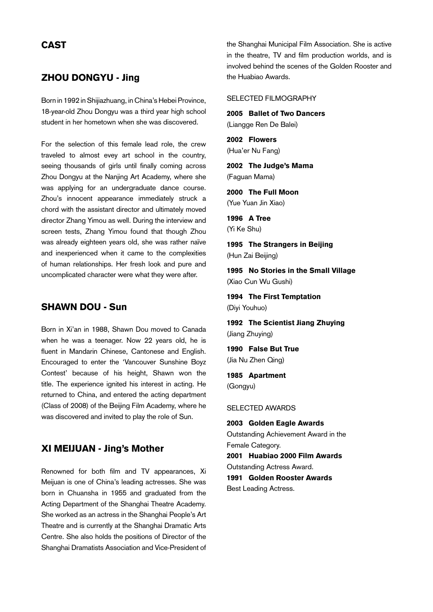## **CAST**

### ZHOU Dongyu - Jing

Born in 1992 in Shijiazhuang, in China's Hebei Province, 18-year-old Zhou Dongyu was a third year high school student in her hometown when she was discovered.

For the selection of this female lead role, the crew traveled to almost evey art school in the country, seeing thousands of girls until finally coming across Zhou Dongyu at the Nanjing Art Academy, where she was applying for an undergraduate dance course. Zhou's innocent appearance immediately struck a chord with the assistant director and ultimately moved director Zhang Yimou as well. During the interview and screen tests, Zhang Yimou found that though Zhou was already eighteen years old, she was rather naïve and inexperienced when it came to the complexities of human relationships. Her fresh look and pure and uncomplicated character were what they were after.

## SHAWN DOU - Sun

Born in Xi'an in 1988, Shawn Dou moved to Canada when he was a teenager. Now 22 years old, he is fluent in Mandarin Chinese, Cantonese and English. Encouraged to enter the 'Vancouver Sunshine Boyz Contest' because of his height, Shawn won the title. The experience ignited his interest in acting. He returned to China, and entered the acting department (Class of 2008) of the Beijing Film Academy, where he was discovered and invited to play the role of Sun.

### XI Meijuan - Jing's Mother

Renowned for both film and TV appearances, Xi Meijuan is one of China's leading actresses. She was born in Chuansha in 1955 and graduated from the Acting Department of the Shanghai Theatre Academy. She worked as an actress in the Shanghai People's Art Theatre and is currently at the Shanghai Dramatic Arts Centre. She also holds the positions of Director of the Shanghai Dramatists Association and Vice-President of the Shanghai Municipal Film Association. She is active in the theatre, TV and film production worlds, and is involved behind the scenes of the Golden Rooster and the Huabiao Awards.

#### Selected Filmography

2005 Ballet of Two Dancers (Liangge Ren De Balei)

2002 Flowers (Hua'er Nu Fang)

2002 The Judge's Mama (Faguan Mama)

2000 The Full Moon (Yue Yuan Jin Xiao)

1996 A Tree (Yi Ke Shu)

1995 The Strangers in Beijing (Hun Zai Beijing)

1995 No Stories in the Small Village (Xiao Cun Wu Gushi)

1994 The First Temptation (Diyi Youhuo)

1992 The Scientist Jiang Zhuying (Jiang Zhuying)

1990 False But True (Jia Nu Zhen Qing)

1985 Apartment (Gongyu)

SELECTED Awards

2003 Golden Eagle Awards Outstanding Achievement Award in the Female Category. 2001 Huabiao 2000 Film Awards Outstanding Actress Award. 1991 Golden Rooster Awards Best Leading Actress.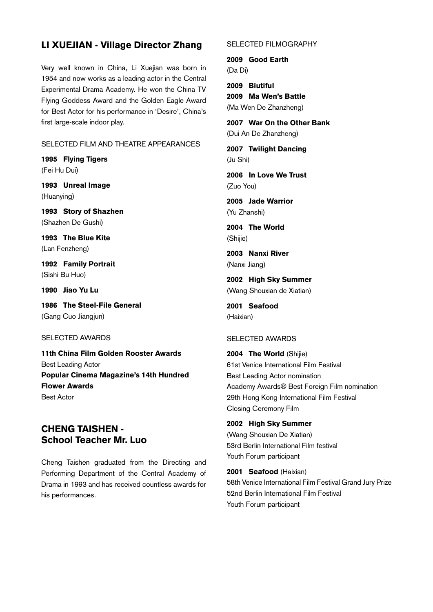## LI XUEJIAN - Village Director Zhang

Very well known in China, Li Xuejian was born in 1954 and now works as a leading actor in the Central Experimental Drama Academy. He won the China TV Flying Goddess Award and the Golden Eagle Award for Best Actor for his performance in 'Desire', China's first large-scale indoor play.

#### Selected Film and Theatre appearances

1995 Flying Tigers (Fei Hu Dui)

1993 Unreal Image (Huanying)

1993 Story of Shazhen (Shazhen De Gushi)

1993 The Blue Kite (Lan Fenzheng)

1992 Family Portrait (Sishi Bu Huo)

1990 Jiao Yu Lu

1986 The Steel-File General (Gang Cuo Jiangjun)

#### SELECTED awards

11th China Film Golden Rooster Awards Best Leading Actor Popular Cinema Magazine's 14th Hundred Flower Awards Best Actor

# CHENG TAISHEN - School Teacher Mr. Luo

Cheng Taishen graduated from the Directing and Performing Department of the Central Academy of Drama in 1993 and has received countless awards for his performances.

#### Selected Filmography

2009 Good Earth (Da Di)

2009 Biutiful 2009 Ma Wen's Battle (Ma Wen De Zhanzheng)

2007 War On the Other Bank (Dui An De Zhanzheng)

2007 Twilight Dancing (Ju Shi)

2006 In Love We Trust (Zuo You)

2005 Jade Warrior (Yu Zhanshi)

2004 The World (Shijie)

2003 Nanxi River (Nanxi Jiang)

2002 High Sky Summer (Wang Shouxian de Xiatian)

2001 Seafood (Haixian)

#### SELECTED AWARDS

2004 The World (Shijie) 61st Venice International Film Festival Best Leading Actor nomination Academy Awards® Best Foreign Film nomination 29th Hong Kong International Film Festival Closing Ceremony Film

#### 2002 High Sky Summer

(Wang Shouxian De Xiatian) 53rd Berlin International Film festival Youth Forum participant

2001 Seafood (Haixian) 58th Venice International Film Festival Grand Jury Prize 52nd Berlin International Film Festival Youth Forum participant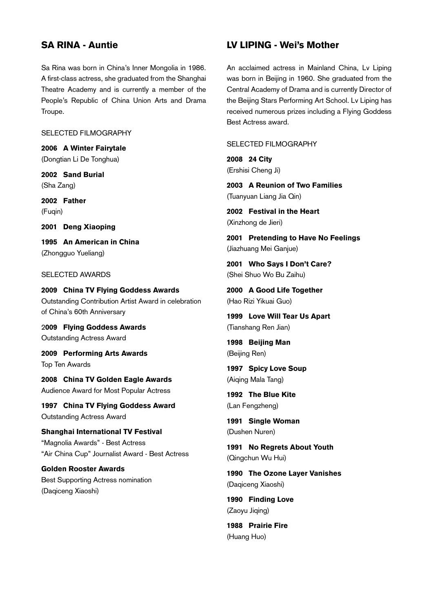## SA RINA - Auntie

Sa Rina was born in China's Inner Mongolia in 1986. A first-class actress, she graduated from the Shanghai Theatre Academy and is currently a member of the People's Republic of China Union Arts and Drama Troupe.

#### SELECTED FILMOGRAPHY

2006 A Winter Fairytale (Dongtian Li De Tonghua)

2002 Sand Burial (Sha Zang)

2002 Father (Fuqin)

2001 Deng Xiaoping

1995 An American in China (Zhongguo Yueliang)

#### SELECTED Awards

2009 China TV Flying Goddess Awards Outstanding Contribution Artist Award in celebration of China's 60th Anniversary

2009 Flying Goddess Awards Outstanding Actress Award

2009 Performing Arts Awards Top Ten Awards

2008 China TV Golden Eagle Awards Audience Award for Most Popular Actress

1997 China TV Flying Goddess Award Outstanding Actress Award

Shanghai International TV Festival "Magnolia Awards" - Best Actress "Air China Cup" Journalist Award - Best Actress

Golden Rooster Awards Best Supporting Actress nomination (Daqiceng Xiaoshi)

## LV LIPING - Wei's Mother

An acclaimed actress in Mainland China, Lv Liping was born in Beijing in 1960. She graduated from the Central Academy of Drama and is currently Director of the Beijing Stars Performing Art School. Lv Liping has received numerous prizes including a Flying Goddess Best Actress award.

SELECTED FILMOGRAPHY

2008 24 City (Ershisi Cheng Ji)

2003 A Reunion of Two Families (Tuanyuan Liang Jia Qin)

2002 Festival in the Heart (Xinzhong de Jieri)

2001 Pretending to Have No Feelings (Jiazhuang Mei Ganjue)

2001 Who Says I Don't Care? (Shei Shuo Wo Bu Zaihu)

2000 A Good Life Together (Hao Rizi Yikuai Guo)

1999 Love Will Tear Us Apart (Tianshang Ren Jian)

1998 Beijing Man (Beijing Ren)

1997 Spicy Love Soup (Aiqing Mala Tang)

1992 The Blue Kite (Lan Fengzheng)

1991 Single Woman (Dushen Nuren)

1991 No Regrets About Youth (Qingchun Wu Hui)

1990 The Ozone Layer Vanishes (Daqiceng Xiaoshi)

1990 Finding Love (Zaoyu Jiqing)

1988 Prairie Fire (Huang Huo)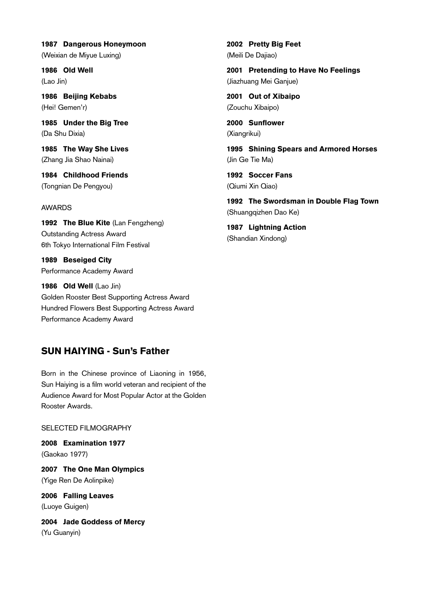1987 Dangerous Honeymoon (Weixian de Miyue Luxing)

1986 Old Well (Lao Jin)

1986 Beijing Kebabs (Hei! Gemen'r)

1985 Under the Big Tree (Da Shu Dixia)

1985 The Way She Lives (Zhang Jia Shao Nainai)

1984 Childhood Friends (Tongnian De Pengyou)

#### **AWARDS**

1992 The Blue Kite (Lan Fengzheng) Outstanding Actress Award 6th Tokyo International Film Festival

1989 Beseiged City Performance Academy Award

1986 Old Well (Lao Jin) Golden Rooster Best Supporting Actress Award Hundred Flowers Best Supporting Actress Award Performance Academy Award

# SUN HAIYING - Sun's Father

Born in the Chinese province of Liaoning in 1956, Sun Haiying is a film world veteran and recipient of the Audience Award for Most Popular Actor at the Golden Rooster Awards.

Selected Filmography

2008 Examination 1977 (Gaokao 1977)

2007 The One Man Olympics (Yige Ren De Aolinpike)

2006 Falling Leaves (Luoye Guigen)

2004 Jade Goddess of Mercy (Yu Guanyin)

2002 Pretty Big Feet (Meili De Dajiao)

2001 Pretending to Have No Feelings (Jiazhuang Mei Ganjue)

2001 Out of Xibaipo (Zouchu Xibaipo)

2000 Sunflower (Xiangrikui)

1995 Shining Spears and Armored Horses (Jin Ge Tie Ma)

1992 Soccer Fans (Qiumi Xin Qiao)

1992 The Swordsman in Double Flag Town (Shuangqizhen Dao Ke)

1987 Lightning Action (Shandian Xindong)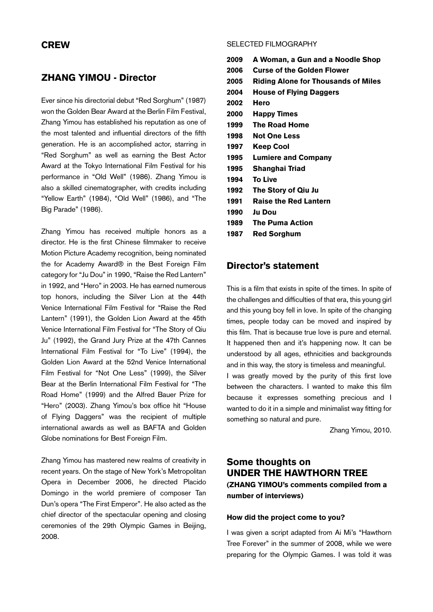### **CREW**

### ZHANG Yimou - Director

Ever since his directorial debut "Red Sorghum" (1987) won the Golden Bear Award at the Berlin Film Festival, Zhang Yimou has established his reputation as one of the most talented and influential directors of the fifth generation. He is an accomplished actor, starring in "Red Sorghum" as well as earning the Best Actor Award at the Tokyo International Film Festival for his performance in "Old Well" (1986). Zhang Yimou is also a skilled cinematographer, with credits including "Yellow Earth" (1984), "Old Well" (1986), and "The Big Parade" (1986).

Zhang Yimou has received multiple honors as a director. He is the first Chinese filmmaker to receive Motion Picture Academy recognition, being nominated the for Academy Award® in the Best Foreign Film category for "Ju Dou" in 1990, "Raise the Red Lantern" in 1992, and "Hero" in 2003. He has earned numerous top honors, including the Silver Lion at the 44th Venice International Film Festival for "Raise the Red Lantern" (1991), the Golden Lion Award at the 45th Venice International Film Festival for "The Story of Qiu Ju" (1992), the Grand Jury Prize at the 47th Cannes International Film Festival for "To Live" (1994), the Golden Lion Award at the 52nd Venice International Film Festival for "Not One Less" (1999), the Silver Bear at the Berlin International Film Festival for "The Road Home" (1999) and the Alfred Bauer Prize for "Hero" (2003). Zhang Yimou's box office hit "House of Flying Daggers" was the recipient of multiple international awards as well as BAFTA and Golden Globe nominations for Best Foreign Film.

Zhang Yimou has mastered new realms of creativity in recent years. On the stage of New York's Metropolitan Opera in December 2006, he directed Placido Domingo in the world premiere of composer Tan Dun's opera "The First Emperor". He also acted as the chief director of the spectacular opening and closing ceremonies of the 29th Olympic Games in Beijing, 2008.

#### SELECTED Filmography

- 2009 A Woman, a Gun and a Noodle Shop 2006 Curse of the Golden Flower 2005 Riding Alone for Thousands of Miles 2004 House of Flying Daggers 2002 Hero 2000 Happy Times 1999 The Road Home 1998 Not One Less 1997 Keep Cool 1995 Lumiere and Company 1995 Shanghai Triad 1994 To Live 1992 The Story of Qiu Ju 1991 Raise the Red Lantern 1990 Ju Dou
- 1989 The Puma Action
- 1987 Red Sorghum

#### Director's statement

This is a film that exists in spite of the times. In spite of the challenges and difficulties of that era, this young girl and this young boy fell in love. In spite of the changing times, people today can be moved and inspired by this film. That is because true love is pure and eternal. It happened then and it's happening now. It can be understood by all ages, ethnicities and backgrounds and in this way, the story is timeless and meaningful. I was greatly moved by the purity of this first love between the characters. I wanted to make this film because it expresses something precious and I wanted to do it in a simple and minimalist way fitting for something so natural and pure.

Zhang Yimou, 2010.

# Some thoughts on UNDER THE HAWTHORN TREE (ZHANG YIMOU's comments compiled from a number of interviews)

#### How did the project come to you?

I was given a script adapted from Ai Mi's "Hawthorn Tree Forever" in the summer of 2008, while we were preparing for the Olympic Games. I was told it was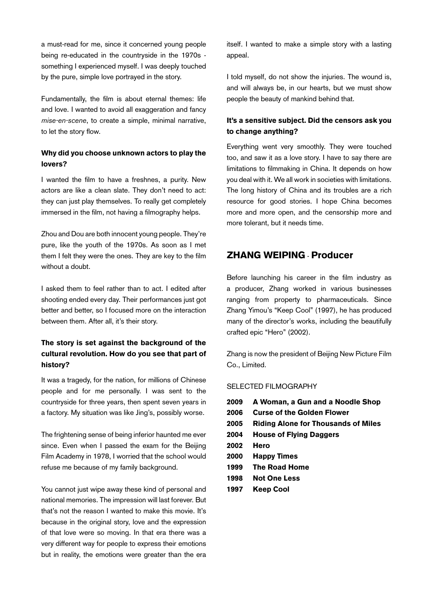a must-read for me, since it concerned young people being re-educated in the countryside in the 1970s something I experienced myself. I was deeply touched by the pure, simple love portrayed in the story.

Fundamentally, the film is about eternal themes: life and love. I wanted to avoid all exaggeration and fancy *mise-en-scene*, to create a simple, minimal narrative, to let the story flow.

### Why did you choose unknown actors to play the lovers?

I wanted the film to have a freshnes, a purity. New actors are like a clean slate. They don't need to act: they can just play themselves. To really get completely immersed in the film, not having a filmography helps.

Zhou and Dou are both innocent young people. They're pure, like the youth of the 1970s. As soon as I met them I felt they were the ones. They are key to the film without a doubt.

I asked them to feel rather than to act. I edited after shooting ended every day. Their performances just got better and better, so I focused more on the interaction between them. After all, it's their story.

### The story is set against the background of the cultural revolution. How do you see that part of history?

It was a tragedy, for the nation, for millions of Chinese people and for me personally. I was sent to the countryside for three years, then spent seven years in a factory. My situation was like Jing's, possibly worse.

The frightening sense of being inferior haunted me ever since. Even when I passed the exam for the Beijing Film Academy in 1978, I worried that the school would refuse me because of my family background.

You cannot just wipe away these kind of personal and national memories. The impression will last forever. But that's not the reason I wanted to make this movie. It's because in the original story, love and the expression of that love were so moving. In that era there was a very different way for people to express their emotions but in reality, the emotions were greater than the era itself. I wanted to make a simple story with a lasting appeal.

I told myself, do not show the injuries. The wound is, and will always be, in our hearts, but we must show people the beauty of mankind behind that.

### It's a sensitive subject. Did the censors ask you to change anything?

Everything went very smoothly. They were touched too, and saw it as a love story. I have to say there are limitations to filmmaking in China. It depends on how you deal with it. We all work in societies with limitations. The long history of China and its troubles are a rich resource for good stories. I hope China becomes more and more open, and the censorship more and more tolerant, but it needs time.

# ZHANG Weiping - Producer

Before launching his career in the film industry as a producer, Zhang worked in various businesses ranging from property to pharmaceuticals. Since Zhang Yimou's "Keep Cool" (1997), he has produced many of the director's works, including the beautifully crafted epic "Hero" (2002).

Zhang is now the president of Beijing New Picture Film Co., Limited.

#### SELECTED Filmography

| 2009 | A Woman, a Gun and a Noodle Shop    |
|------|-------------------------------------|
| 2006 | <b>Curse of the Golden Flower</b>   |
| 2005 | Riding Alone for Thousands of Miles |
| 2004 | <b>House of Flying Daggers</b>      |
| 2002 | Hero                                |
| 2000 | <b>Happy Times</b>                  |
| 1999 | <b>The Road Home</b>                |
| 1998 | <b>Not One Less</b>                 |
| 1997 | <b>Keep Cool</b>                    |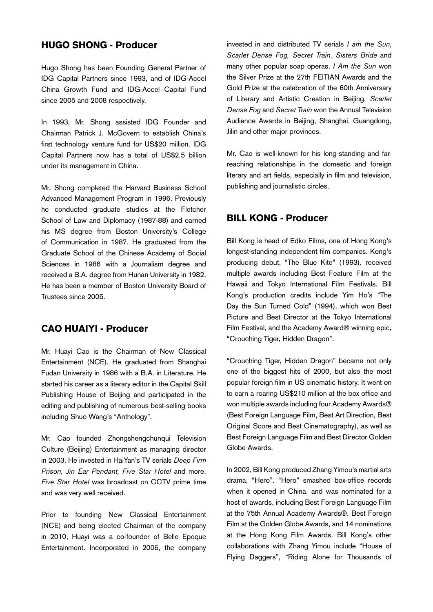### Hugo SHONG - Producer

Hugo Shong has been Founding General Partner of IDG Capital Partners since 1993, and of IDG-Accel China Growth Fund and IDG-Accel Capital Fund since 2005 and 2008 respectively.

In 1993, Mr. Shong assisted IDG Founder and Chairman Patrick J. McGovern to establish China's first technology venture fund for US\$20 million. IDG Capital Partners now has a total of US\$2.5 billion under its management in China.

Mr. Shong completed the Harvard Business School Advanced Management Program in 1996. Previously he conducted graduate studies at the Fletcher School of Law and Diplomacy (1987-88) and earned his MS degree from Boston University's College of Communication in 1987. He graduated from the Graduate School of the Chinese Academy of Social Sciences in 1986 with a Journalism degree and received a B.A. degree from Hunan University in 1982. He has been a member of Boston University Board of Trustees since 2005.

## CAO Huaiyi - Producer

Mr. Huayi Cao is the Chairman of New Classical Entertainment (NCE). He graduated from Shanghai Fudan University in 1986 with a B.A. in Literature. He started his career as a literary editor in the Capital Skill Publishing House of Beijing and participated in the editing and publishing of numerous best-selling books including Shuo Wang's "Anthology".

Mr. Cao founded Zhongshengchunqui Television Culture (Beijing) Entertainment as managing director in 2003. He invested in HaiYan's TV serials *Deep Firm Prison, Jin Ear Pendant, Five Star Hotel* and more. *Five Star Hotel* was broadcast on CCTV prime time and was very well received.

Prior to founding New Classical Entertainment (NCE) and being elected Chairman of the company in 2010, Huayi was a co-founder of Belle Epoque Entertainment. Incorporated in 2006, the company

invested in and distributed TV serials *I am the Sun, Scarlet Dense Fog, Secret Train, Sisters Bride* and many other popular soap operas. *I Am the Sun* won the Silver Prize at the 27th FEITIAN Awards and the Gold Prize at the celebration of the 60th Anniversary of Literary and Artistic Creation in Beijing. *Scarlet Dense Fog* and *Secret Train* won the Annual Television Audience Awards in Beijing, Shanghai, Guangdong, Jilin and other major provinces.

Mr. Cao is well-known for his long-standing and farreaching relationships in the domestic and foreign literary and art fields, especially in film and television, publishing and journalistic circles.

### Bill KONG - Producer

Bill Kong is head of Edko Films, one of Hong Kong's longest-standing independent film companies. Kong's producing debut, "The Blue Kite" (1993), received multiple awards including Best Feature Film at the Hawaii and Tokyo International Film Festivals. Bill Kong's production credits include Yim Ho's "The Day the Sun Turned Cold" (1994), which won Best Picture and Best Director at the Tokyo International Film Festival, and the Academy Award® winning epic, "Crouching Tiger, Hidden Dragon".

"Crouching Tiger, Hidden Dragon" became not only one of the biggest hits of 2000, but also the most popular foreign film in US cinematic history. It went on to earn a roaring US\$210 million at the box office and won multiple awards including four Academy Awards® (Best Foreign Language Film, Best Art Direction, Best Original Score and Best Cinematography), as well as Best Foreign Language Film and Best Director Golden Globe Awards.

In 2002, Bill Kong produced Zhang Yimou's martial arts drama, "Hero". "Hero" smashed box-office records when it opened in China, and was nominated for a host of awards, including Best Foreign Language Film at the 75th Annual Academy Awards®, Best Foreign Film at the Golden Globe Awards, and 14 nominations at the Hong Kong Film Awards. Bill Kong's other collaborations with Zhang Yimou include "House of Flying Daggers", "Riding Alone for Thousands of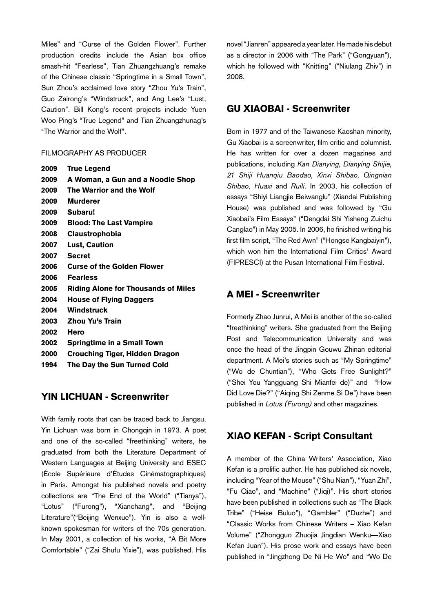Miles" and "Curse of the Golden Flower". Further production credits include the Asian box office smash-hit "Fearless", Tian Zhuangzhuang's remake of the Chinese classic "Springtime in a Small Town", Sun Zhou's acclaimed love story "Zhou Yu's Train", Guo Zairong's "Windstruck", and Ang Lee's "Lust, Caution". Bill Kong's recent projects include Yuen Woo Ping's "True Legend" and Tian Zhuangzhunag's "The Warrior and the Wolf".

#### Filmography as Producer

| 2009 | <b>True Legend</b>                         |
|------|--------------------------------------------|
| 2009 | A Woman, a Gun and a Noodle Shop           |
| 2009 | The Warrior and the Wolf                   |
| 2009 | Murderer                                   |
| 2009 | Subaru!                                    |
| 2009 | <b>Blood: The Last Vampire</b>             |
| 2008 | <b>Claustrophobia</b>                      |
| 2007 | <b>Lust, Caution</b>                       |
| 2007 | <b>Secret</b>                              |
| 2006 | <b>Curse of the Golden Flower</b>          |
| 2006 | <b>Fearless</b>                            |
| 2005 | <b>Riding Alone for Thousands of Miles</b> |
| 2004 | <b>House of Flying Daggers</b>             |
| 2004 | Windstruck                                 |
| 2003 | Zhou Yu's Train                            |
| 2002 | Hero                                       |
| 2002 | <b>Springtime in a Small Town</b>          |
| 2000 | <b>Crouching Tiger, Hidden Dragon</b>      |
| 1994 | The Day the Sun Turned Cold                |
|      |                                            |

## YIN Lichuan - Screenwriter

With family roots that can be traced back to Jiangsu, Yin Lichuan was born in Chongqin in 1973. A poet and one of the so-called "freethinking" writers, he graduated from both the Literature Department of Western Languages at Beijing University and ESEC (École Supérieure d'Études Cinématographiques) in Paris. Amongst his published novels and poetry collections are "The End of the World" ("Tianya"), "Lotus" ("Furong"), "Xianchang", and "Beijing Literature"("Beijing Wenxue"). Yin is also a wellknown spokesman for writers of the 70s generation. In May 2001, a collection of his works, "A Bit More Comfortable" ("Zai Shufu Yixie"), was published. His novel "Jianren" appeared a year later. He made his debut as a director in 2006 with "The Park" ("Gongyuan"), which he followed with "Knitting" ("Niulang Zhiv") in 2008.

## GU Xiaobai - Screenwriter

Born in 1977 and of the Taiwanese Kaoshan minority, Gu Xiaobai is a screenwriter, film critic and columnist. He has written for over a dozen magazines and publications, including *Kan Dianying, Dianying Shijie, 21 Shiji Huanqiu Baodao, Xinxi Shibao, Qingnian Shibao, Huaxi* and *Ruili*. In 2003, his collection of essays "Shiyi Liangjie Beiwanglu" (Xiandai Publishing House) was published and was followed by "Gu Xiaobai's Film Essays" ("Dengdai Shi Yisheng Zuichu Canglao") in May 2005. In 2006, he finished writing his first film script, "The Red Awn" ("Hongse Kangbaiyin"), which won him the International Film Critics' Award (FIPRESCI) at the Pusan International Film Festival.

### A Mei - Screenwriter

Formerly Zhao Junrui, A Mei is another of the so-called "freethinking" writers. She graduated from the Beijing Post and Telecommunication University and was once the head of the Jingpin Gouwu Zhinan editorial department. A Mei's stories such as "My Springtime" ("Wo de Chuntian"), "Who Gets Free Sunlight?" ("Shei You Yangguang Shi Mianfei de)" and "How Did Love Die?" ("Aiqing Shi Zenme Si De") have been published in *Lotus (Furong)* and other magazines.

### XIAO Kefan - Script Consultant

A member of the China Writers' Association, Xiao Kefan is a prolific author. He has published six novels, including "Year of the Mouse" ("Shu Nian"), "Yuan Zhi", "Fu Qiao", and "Machine" ("Jiqi)". His short stories have been published in collections such as "The Black Tribe" ("Heise Buluo"), "Gambler" ("Duzhe") and "Classic Works from Chinese Writers – Xiao Kefan Volume" ("Zhongguo Zhuojia Jingdian Wenku—Xiao Kefan Juan"). His prose work and essays have been published in "Jingzhong De Ni He Wo" and "Wo De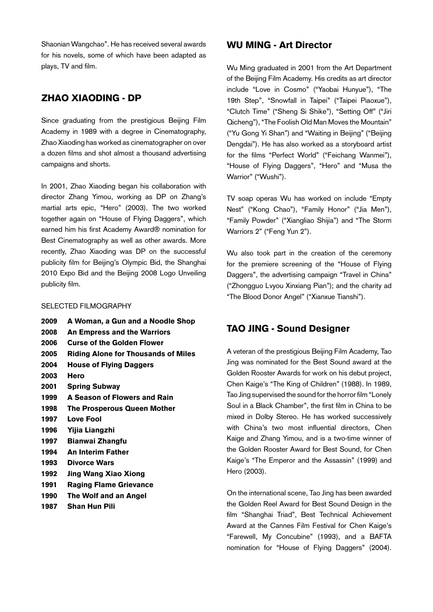Shaonian Wangchao". He has received several awards for his novels, some of which have been adapted as plays, TV and film.

## ZHAO Xiaoding - DP

Since graduating from the prestigious Beijing Film Academy in 1989 with a degree in Cinematography, Zhao Xiaoding has worked as cinematographer on over a dozen films and shot almost a thousand advertising campaigns and shorts.

In 2001, Zhao Xiaoding began his collaboration with director Zhang Yimou, working as DP on Zhang's martial arts epic, "Hero" (2003). The two worked together again on "House of Flying Daggers", which earned him his first Academy Award® nomination for Best Cinematography as well as other awards. More recently, Zhao Xiaoding was DP on the successful publicity film for Beijing's Olympic Bid, the Shanghai 2010 Expo Bid and the Beijing 2008 Logo Unveiling publicity film.

#### Selected FilMOGRAPHY

2009 A Woman, a Gun and a Noodle Shop 2008 An Empress and the Warriors 2006 Curse of the Golden Flower 2005 Riding Alone for Thousands of Miles 2004 House of Flying Daggers 2003 Hero 2001 Spring Subway 1999 A Season of Flowers and Rain 1998 The Prosperous Queen Mother 1997 Love Fool 1996 Yijia Liangzhi 1997 Bianwai Zhangfu 1994 An Interim Father 1993 Divorce Wars 1992 Jing Wang Xiao Xiong 1991 Raging Flame Grievance 1990 The Wolf and an Angel 1987 Shan Hun Pili

## WU Ming - Art Director

Wu Ming graduated in 2001 from the Art Department of the Beijing Film Academy. His credits as art director include "Love in Cosmo" ("Yaobai Hunyue"), "The 19th Step", "Snowfall in Taipei" ("Taipei Piaoxue"), "Clutch Time" ("Sheng Si Shike"), "Setting Off" ("Jiri Qicheng"), "The Foolish Old Man Moves the Mountain" ("Yu Gong Yi Shan") and "Waiting in Beijing" ("Beijing Dengdai"). He has also worked as a storyboard artist for the films "Perfect World" ("Feichang Wanmei"), "House of Flying Daggers", "Hero" and "Musa the Warrior" ("Wushi").

TV soap operas Wu has worked on include "Empty Nest" ("Kong Chao"), "Family Honor" ("Jia Men"), "Family Powder" ("Xiangliao Shijia") and "The Storm Warriors 2" ("Feng Yun 2").

Wu also took part in the creation of the ceremony for the premiere screening of the "House of Flying Daggers", the advertising campaign "Travel in China" ("Zhongguo Lvyou Xinxiang Pian"); and the charity ad "The Blood Donor Angel" ("Xianxue Tianshi").

# TAO Jing - Sound Designer

A veteran of the prestigious Beijing Film Academy, Tao Jing was nominated for the Best Sound award at the Golden Rooster Awards for work on his debut project, Chen Kaige's "The King of Children" (1988). In 1989, Tao Jing supervised the sound for the horror film "Lonely Soul in a Black Chamber", the first film in China to be mixed in Dolby Stereo. He has worked successively with China's two most influential directors, Chen Kaige and Zhang Yimou, and is a two-time winner of the Golden Rooster Award for Best Sound, for Chen Kaige's "The Emperor and the Assassin" (1999) and Hero (2003).

On the international scene, Tao Jing has been awarded the Golden Reel Award for Best Sound Design in the film "Shanghai Triad", Best Technical Achievement Award at the Cannes Film Festival for Chen Kaige's "Farewell, My Concubine" (1993), and a BAFTA nomination for "House of Flying Daggers" (2004).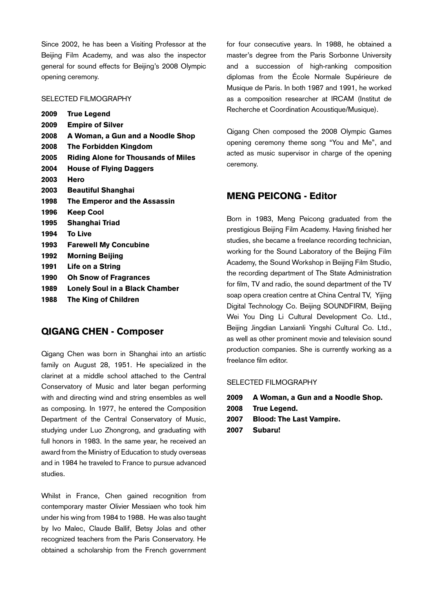Since 2002, he has been a Visiting Professor at the Beijing Film Academy, and was also the inspector general for sound effects for Beijing's 2008 Olympic opening ceremony.

#### Selected Filmography

| 2009 | <b>True Legend</b>                         |
|------|--------------------------------------------|
| 2009 | <b>Empire of Silver</b>                    |
| 2008 | A Woman, a Gun and a Noodle Shop           |
| 2008 | The Forbidden Kingdom                      |
| 2005 | <b>Riding Alone for Thousands of Miles</b> |
| 2004 | <b>House of Flying Daggers</b>             |
| 2003 | Hero                                       |
| 2003 | <b>Beautiful Shanghai</b>                  |
| 1998 | The Emperor and the Assassin               |
| 1996 | Keep Cool                                  |
| 1995 | Shanghai Triad                             |
| 1994 | <b>To Live</b>                             |
| 1993 | <b>Farewell My Concubine</b>               |
| 1992 | <b>Morning Beijing</b>                     |
| 1991 | Life on a String                           |
| 1990 | <b>Oh Snow of Fragrances</b>               |
| 1989 | Lonely Soul in a Black Chamber             |
| 1988 | The King of Children                       |
|      |                                            |

### Qigang CHEN - Composer

Qigang Chen was born in Shanghai into an artistic family on August 28, 1951. He specialized in the clarinet at a middle school attached to the Central Conservatory of Music and later began performing with and directing wind and string ensembles as well as composing. In 1977, he entered the Composition Department of the Central Conservatory of Music, studying under Luo Zhongrong, and graduating with full honors in 1983. In the same year, he received an award from the Ministry of Education to study overseas and in 1984 he traveled to France to pursue advanced studies.

Whilst in France, Chen gained recognition from contemporary master Olivier Messiaen who took him under his wing from 1984 to 1988. He was also taught by Ivo Malec, Claude Ballif, Betsy Jolas and other recognized teachers from the Paris Conservatory. He obtained a scholarship from the French government for four consecutive years. In 1988, he obtained a master's degree from the Paris Sorbonne University and a succession of high-ranking composition diplomas from the École Normale Supérieure de Musique de Paris. In both 1987 and 1991, he worked as a composition researcher at IRCAM (Institut de Recherche et Coordination Acoustique/Musique).

Qigang Chen composed the 2008 Olympic Games opening ceremony theme song "You and Me", and acted as music supervisor in charge of the opening ceremony.

## MENG Peicong - Editor

Born in 1983, Meng Peicong graduated from the prestigious Beijing Film Academy. Having finished her studies, she became a freelance recording technician, working for the Sound Laboratory of the Beijing Film Academy, the Sound Workshop in Beijing Film Studio, the recording department of The State Administration for film, TV and radio, the sound department of the TV soap opera creation centre at China Central TV, Yijing Digital Technology Co. Beijing SOUNDFIRM, Beijing Wei You Ding Li Cultural Development Co. Ltd., Beijing Jingdian Lanxianli Yingshi Cultural Co. Ltd., as well as other prominent movie and television sound production companies. She is currently working as a freelance film editor.

#### Selected Filmography

- 2009 A Woman, a Gun and a Noodle Shop.
- 2008 True Legend.
- 2007 Blood: The Last Vampire.
- 2007 Subaru!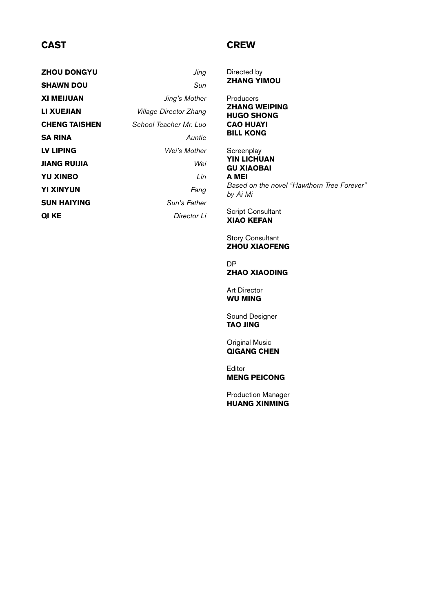# **CAST**

# **CREW**

| <b>ZHOU DONGYU</b> | Jing                   |
|--------------------|------------------------|
| SHAWN DOU          | Sun                    |
| XI MEIJUAN         | Jing's Mother          |
| LI XUEJIAN         | Village Director Zhang |
| CHENG TAISHEN      | School Teacher Mr. Luo |
| SA RINA            | Auntie                 |
| LV LIPING          | Wei's Mother           |
| JIANG RUIJIA       | Wei                    |
| <b>YU XINBO</b>    | Lin                    |
| YI XINYUN          | Fang                   |
| SUN HAIYING        | Sun's Father           |
| QI KE              | Director Li            |

#### Directed by **ZHANG YIMOU**

**Producers ZHANG WEIPING** Hugo Shong Cao Huayi Bill Kong

**Screenplay YIN LICHUAN** Gu Xiaobai A Mei *Based on the novel "Hawthorn Tree Forever" by Ai Mi*

Script Consultant Xiao Kefan

Story Consultant **ZHOU XIAOFENG** 

DP ZHAO XIAODING

Art Director Wu Ming

Sound Designer Tao Jing

Original Music Qigang Chen

Editor Meng Peicong

Production Manager Huang Xinming